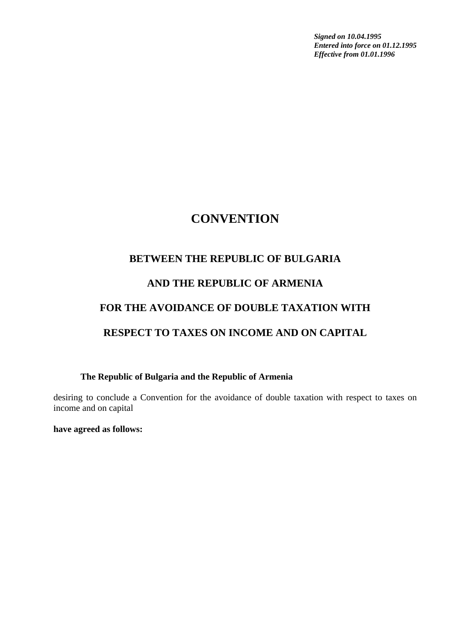*Signed on 10.04.1995 Entered into force on 01.12.1995 Effective from 01.01.1996* 

# **CONVENTION**

## **BETWEEN THE REPUBLIC OF BULGARIA**

## **AND THE REPUBLIC OF ARMENIA**

# **FOR THE AVOIDANCE OF DOUBLE TAXATION WITH**

# **RESPECT TO TAXES ON INCOME AND ON CAPITAL**

#### **The Republic of Bulgaria and the Republic of Armenia**

desiring to conclude a Convention for the avoidance of double taxation with respect to taxes on income and on capital

**have agreed as follows:**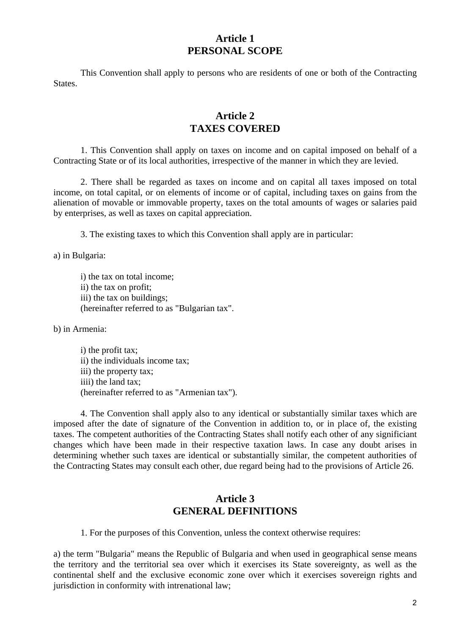#### **Article 1 PERSONAL SCOPE**

This Convention shall apply to persons who are residents of one or both of the Contracting States.

### **Article 2 TAXES COVERED**

1. This Convention shall apply on taxes on income and on capital imposed on behalf of a Contracting State or of its local authorities, irrespective of the manner in which they are levied.

2. There shall be regarded as taxes on income and on capital all taxes imposed on total income, on total capital, or on elements of income or of capital, including taxes on gains from the alienation of movable or immovable property, taxes on the total amounts of wages or salaries paid by enterprises, as well as taxes on capital appreciation.

3. The existing taxes to which this Convention shall apply are in particular:

a) in Bulgaria:

i) the tax on total income; ii) the tax on profit; iii) the tax on buildings; (hereinafter referred to as "Bulgarian tax".

b) in Armenia:

i) the profit tax; ii) the individuals income tax; iii) the property tax; iiii) the land tax; (hereinafter referred to as "Armenian tax").

4. The Convention shall apply also to any identical or substantially similar taxes which are imposed after the date of signature of the Convention in addition to, or in place of, the existing taxes. The competent authorities of the Contracting States shall notify each other of any significiant changes which have been made in their respective taxation laws. In case any doubt arises in determining whether such taxes are identical or substantially similar, the competent authorities of the Contracting States may consult each other, due regard being had to the provisions of Article 26.

#### **Article 3 GENERAL DEFINITIONS**

1. For the purposes of this Convention, unless the context otherwise requires:

a) the term "Bulgaria" means the Republic of Bulgaria and when used in geographical sense means the territory and the territorial sea over which it exercises its State sovereignty, as well as the continental shelf and the exclusive economic zone over which it exercises sovereign rights and jurisdiction in conformity with intrenational law;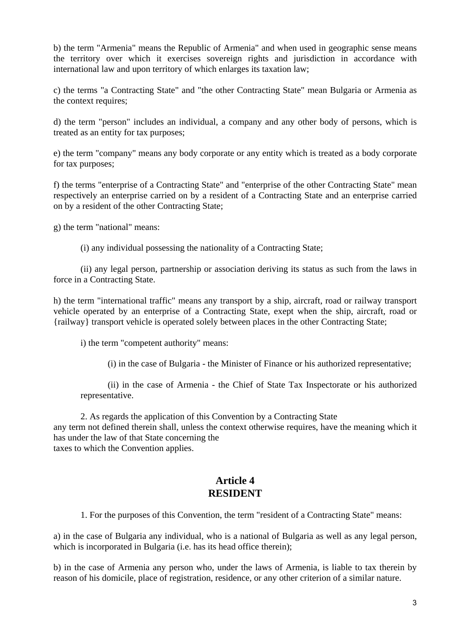b) the term "Armenia" means the Republic of Armenia" and when used in geographic sense means the territory over which it exercises sovereign rights and jurisdiction in accordance with international law and upon territory of which enlarges its taxation law;

c) the terms "a Contracting State" and "the other Contracting State" mean Bulgaria or Armenia as the context requires;

d) the term "person" includes an individual, a company and any other body of persons, which is treated as an entity for tax purposes;

e) the term "company" means any body corporate or any entity which is treated as a body corporate for tax purposes;

f) the terms "enterprise of a Contracting State" and "enterprise of the other Contracting State" mean respectively an enterprise carried on by a resident of a Contracting State and an enterprise carried on by a resident of the other Contracting State;

g) the term "national" means:

(i) any individual possessing the nationality of a Contracting State;

(ii) any legal person, partnership or association deriving its status as such from the laws in force in a Contracting State.

h) the term "international traffic" means any transport by a ship, aircraft, road or railway transport vehicle operated by an enterprise of a Contracting State, exept when the ship, aircraft, road or {railway} transport vehicle is operated solely between places in the other Contracting State;

i) the term "competent authority" means:

(i) in the case of Bulgaria - the Minister of Finance or his authorized representative;

(ii) in the case of Armenia - the Chief of State Tax Inspectorate or his authorized representative.

2. As regards the application of this Convention by a Contracting State any term not defined therein shall, unless the context otherwise requires, have the meaning which it has under the law of that State concerning the taxes to which the Convention applies.

### **Article 4 RESIDENT**

1. For the purposes of this Convention, the term "resident of a Contracting State" means:

a) in the case of Bulgaria any individual, who is a national of Bulgaria as well as any legal person, which is incorporated in Bulgaria (i.e. has its head office therein);

b) in the case of Armenia any person who, under the laws of Armenia, is liable to tax therein by reason of his domicile, place of registration, residence, or any other criterion of a similar nature.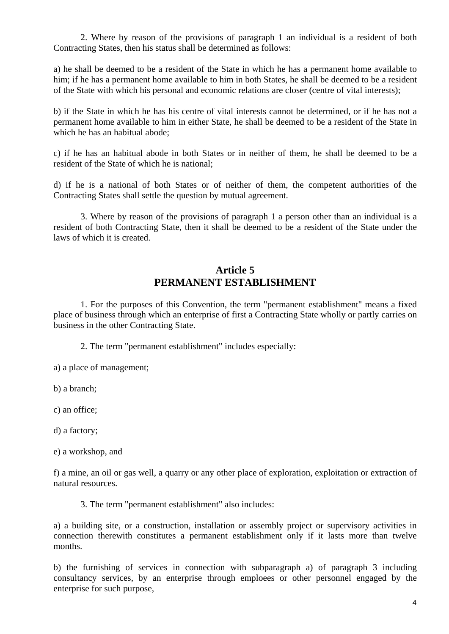2. Where by reason of the provisions of paragraph 1 an individual is a resident of both Contracting States, then his status shall be determined as follows:

a) he shall be deemed to be a resident of the State in which he has a permanent home available to him; if he has a permanent home available to him in both States, he shall be deemed to be a resident of the State with which his personal and economic relations are closer (centre of vital interests);

b) if the State in which he has his centre of vital interests cannot be determined, or if he has not a permanent home available to him in either State, he shall be deemed to be a resident of the State in which he has an habitual abode;

c) if he has an habitual abode in both States or in neither of them, he shall be deemed to be a resident of the State of which he is national;

d) if he is a national of both States or of neither of them, the competent authorities of the Contracting States shall settle the question by mutual agreement.

3. Where by reason of the provisions of paragraph 1 a person other than an individual is a resident of both Contracting State, then it shall be deemed to be a resident of the State under the laws of which it is created.

### **Article 5 PERMANENT ESTABLISHMENT**

1. For the purposes of this Convention, the term "permanent establishment" means a fixed place of business through which an enterprise of first a Contracting State wholly or partly carries on business in the other Contracting State.

2. The term "permanent establishment" includes especially:

a) a place of management;

b) a branch;

c) an office;

d) a factory;

e) a workshop, and

f) a mine, an oil or gas well, a quarry or any other place of exploration, exploitation or extraction of natural resources.

3. The term "permanent establishment" also includes:

a) a building site, or a construction, installation or assembly project or supervisory activities in connection therewith constitutes a permanent establishment only if it lasts more than twelve months.

b) the furnishing of services in connection with subparagraph a) of paragraph 3 including consultancy services, by an enterprise through emploees or other personnel engaged by the enterprise for such purpose,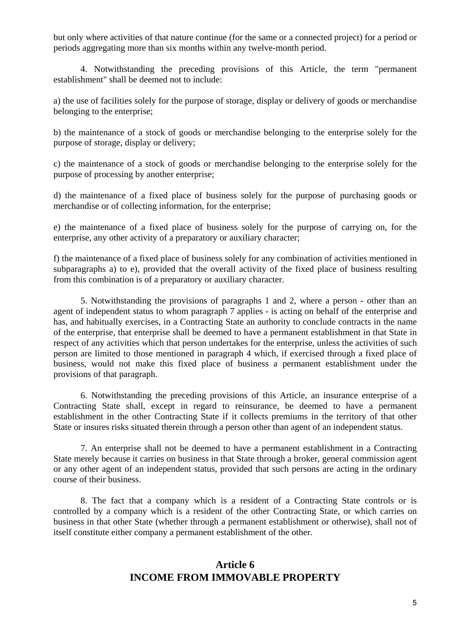but only where activities of that nature continue (for the same or a connected project) for a period or periods aggregating more than six months within any twelve-month period.

4. Notwithstanding the preceding provisions of this Article, the term "permanent establishment" shall be deemed not to include:

a) the use of facilities solely for the purpose of storage, display or delivery of goods or merchandise belonging to the enterprise;

b) the maintenance of a stock of goods or merchandise belonging to the enterprise solely for the purpose of storage, display or delivery;

c) the maintenance of a stock of goods or merchandise belonging to the enterprise solely for the purpose of processing by another enterprise;

d) the maintenance of a fixed place of business solely for the purpose of purchasing goods or merchandise or of collecting information, for the enterprise;

e) the maintenance of a fixed place of business solely for the purpose of carrying on, for the enterprise, any other activity of a preparatory or auxiliary character;

f) the maintenance of a fixed place of business solely for any combination of activities mentioned in subparagraphs a) to e), provided that the overall activity of the fixed place of business resulting from this combination is of a preparatory or auxiliary character.

5. Notwithstanding the provisions of paragraphs 1 and 2, where a person - other than an agent of independent status to whom paragraph 7 applies - is acting on behalf of the enterprise and has, and habitually exercises, in a Contracting State an authority to conclude contracts in the name of the enterprise, that enterprise shall be deemed to have a permanent establishment in that State in respect of any activities which that person undertakes for the enterprise, unless the activities of such person are limited to those mentioned in paragraph 4 which, if exercised through a fixed place of business, would not make this fixed place of business a permanent establishment under the provisions of that paragraph.

6. Notwithstanding the preceding provisions of this Article, an insurance enterprise of a Contracting State shall, except in regard to reinsurance, be deemed to have a permanent establishment in the other Contracting State if it collects premiums in the territory of that other State or insures risks situated therein through a person other than agent of an independent status.

7. An enterprise shall not be deemed to have a permanent establishment in a Contracting State merely because it carries on business in that State through a broker, general commission agent or any other agent of an independent status, provided that such persons are acting in the ordinary course of their business.

8. The fact that a company which is a resident of a Contracting State controls or is controlled by a company which is a resident of the other Contracting State, or which carries on business in that other State (whether through a permanent establishment or otherwise), shall not of itself constitute either company a permanent establishment of the other.

### **Article 6 INCOME FROM IMMOVABLE PROPERTY**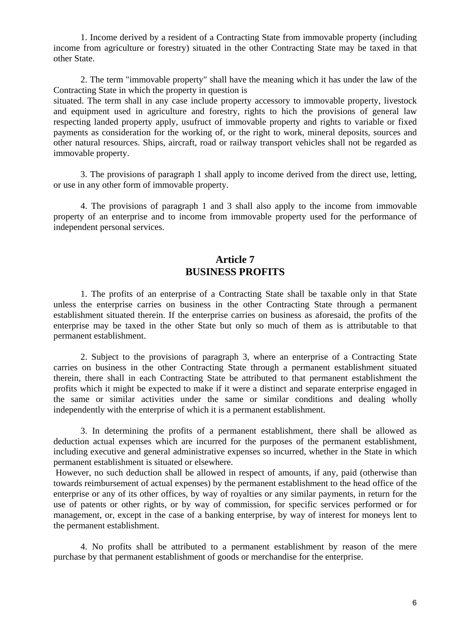1. Income derived by a resident of a Contracting State from immovable property (including income from agriculture or forestry) situated in the other Contracting State may be taxed in that other State.

2. The term "immovable property" shall have the meaning which it has under the law of the Contracting State in which the property in question is situated. The term shall in any case include property accessory to immovable property, livestock and equipment used in agriculture and forestry, rights to hich the provisions of general law respecting landed property apply, usufruct of immovable property and rights to variable or fixed payments as consideration for the working of, or the right to work, mineral deposits, sources and other natural resources. Ships, aircraft, road or railway transport vehicles shall not be regarded as immovable property.

3. The provisions of paragraph 1 shall apply to income derived from the direct use, letting, or use in any other form of immovable property.

4. The provisions of paragraph 1 and 3 shall also apply to the income from immovable property of an enterprise and to income from immovable property used for the performance of independent personal services.

### **Article 7 BUSINESS PROFITS**

1. The profits of an enterprise of a Contracting State shall be taxable only in that State unless the enterprise carries on business in the other Contracting State through a permanent establishment situated therein. If the enterprise carries on business as aforesaid, the profits of the enterprise may be taxed in the other State but only so much of them as is attributable to that permanent establishment.

2. Subject to the provisions of paragraph 3, where an enterprise of a Contracting State carries on business in the other Contracting State through a permanent establishment situated therein, there shall in each Contracting State be attributed to that permanent establishment the profits which it might be expected to make if it were a distinct and separate enterprise engaged in the same or similar activities under the same or similar conditions and dealing wholly independently with the enterprise of which it is a permanent establishment.

3. In determining the profits of a permanent establishment, there shall be allowed as deduction actual expenses which are incurred for the purposes of the permanent establishment, including executive and general administrative expenses so incurred, whether in the State in which permanent establishment is situated or elsewhere.

 However, no such deduction shall be allowed in respect of amounts, if any, paid (otherwise than towards reimbursement of actual expenses) by the permanent establishment to the head office of the enterprise or any of its other offices, by way of royalties or any similar payments, in return for the use of patents or other rights, or by way of commission, for specific services performed or for management, or, except in the case of a banking enterprise, by way of interest for moneys lent to the permanent establishment.

4. No profits shall be attributed to a permanent establishment by reason of the mere purchase by that permanent establishment of goods or merchandise for the enterprise.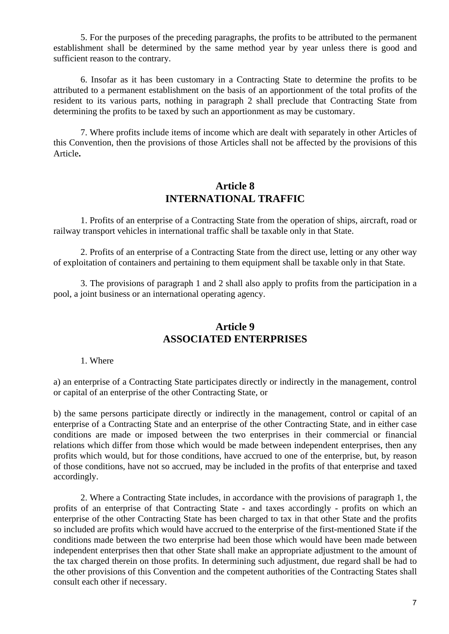5. For the purposes of the preceding paragraphs, the profits to be attributed to the permanent establishment shall be determined by the same method year by year unless there is good and sufficient reason to the contrary.

6. Insofar as it has been customary in a Contracting State to determine the profits to be attributed to a permanent establishment on the basis of an apportionment of the total profits of the resident to its various parts, nothing in paragraph 2 shall preclude that Contracting State from determining the profits to be taxed by such an apportionment as may be customary.

7. Where profits include items of income which are dealt with separately in other Articles of this Convention, then the provisions of those Articles shall not be affected by the provisions of this Article**.** 

### **Article 8 INTERNATIONAL TRAFFIC**

1. Profits of an enterprise of a Contracting State from the operation of ships, aircraft, road or railway transport vehicles in international traffic shall be taxable only in that State.

2. Profits of an enterprise of a Contracting State from the direct use, letting or any other way of exploitation of containers and pertaining to them equipment shall be taxable only in that State.

3. The provisions of paragraph 1 and 2 shall also apply to profits from the participation in a pool, a joint business or an international operating agency.

### **Article 9 ASSOCIATED ENTERPRISES**

#### 1. Where

a) an enterprise of a Contracting State participates directly or indirectly in the management, control or capital of an enterprise of the other Contracting State, or

b) the same persons participate directly or indirectly in the management, control or capital of an enterprise of a Contracting State and an enterprise of the other Contracting State, and in either case conditions are made or imposed between the two enterprises in their commercial or financial relations which differ from those which would be made between independent enterprises, then any profits which would, but for those conditions, have accrued to one of the enterprise, but, by reason of those conditions, have not so accrued, may be included in the profits of that enterprise and taxed accordingly.

2. Where a Contracting State includes, in accordance with the provisions of paragraph 1, the profits of an enterprise of that Contracting State - and taxes accordingly - profits on which an enterprise of the other Contracting State has been charged to tax in that other State and the profits so included are profits which would have accrued to the enterprise of the first-mentioned State if the conditions made between the two enterprise had been those which would have been made between independent enterprises then that other State shall make an appropriate adjustment to the amount of the tax charged therein on those profits. In determining such adjustment, due regard shall be had to the other provisions of this Convention and the competent authorities of the Contracting States shall consult each other if necessary.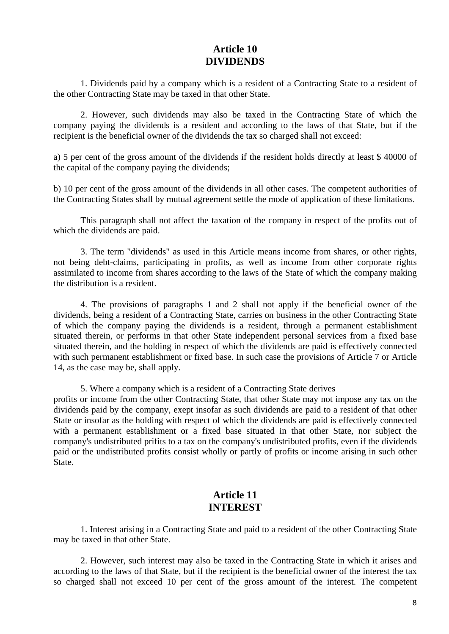### **Article 10 DIVIDENDS**

1. Dividends paid by a company which is a resident of a Contracting State to a resident of the other Contracting State may be taxed in that other State.

2. However, such dividends may also be taxed in the Contracting State of which the company paying the dividends is a resident and according to the laws of that State, but if the recipient is the beneficial owner of the dividends the tax so charged shall not exceed:

a) 5 per cent of the gross amount of the dividends if the resident holds directly at least \$ 40000 of the capital of the company paying the dividends;

b) 10 per cent of the gross amount of the dividends in all other cases. The competent authorities of the Contracting States shall by mutual agreement settle the mode of application of these limitations.

This paragraph shall not affect the taxation of the company in respect of the profits out of which the dividends are paid.

3. The term "dividends" as used in this Article means income from shares, or other rights, not being debt-claims, participating in profits, as well as income from other corporate rights assimilated to income from shares according to the laws of the State of which the company making the distribution is a resident.

4. The provisions of paragraphs 1 and 2 shall not apply if the beneficial owner of the dividends, being a resident of a Contracting State, carries on business in the other Contracting State of which the company paying the dividends is a resident, through a permanent establishment situated therein, or performs in that other State independent personal services from a fixed base situated therein, and the holding in respect of which the dividends are paid is effectively connected with such permanent establishment or fixed base. In such case the provisions of Article 7 or Article 14, as the case may be, shall apply.

5. Where a company which is a resident of a Contracting State derives

profits or income from the other Contracting State, that other State may not impose any tax on the dividends paid by the company, exept insofar as such dividends are paid to a resident of that other State or insofar as the holding with respect of which the dividends are paid is effectively connected with a permanent establishment or a fixed base situated in that other State, nor subject the company's undistributed prifits to a tax on the company's undistributed profits, even if the dividends paid or the undistributed profits consist wholly or partly of profits or income arising in such other State.

#### **Article 11 INTEREST**

1. Interest arising in a Contracting State and paid to a resident of the other Contracting State may be taxed in that other State.

2. However, such interest may also be taxed in the Contracting State in which it arises and according to the laws of that State, but if the recipient is the beneficial owner of the interest the tax so charged shall not exceed 10 per cent of the gross amount of the interest. The competent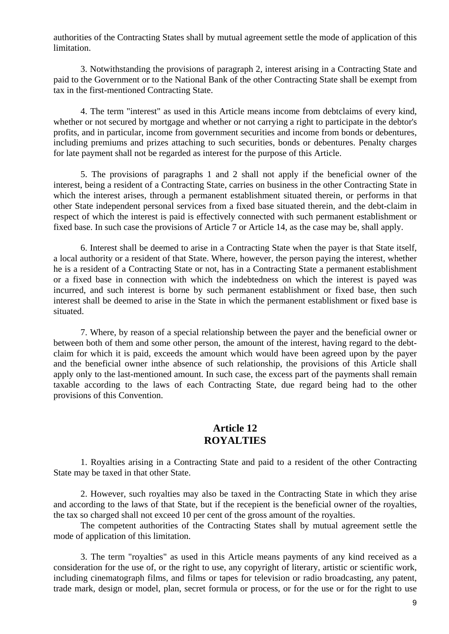authorities of the Contracting States shall by mutual agreement settle the mode of application of this limitation.

3. Notwithstanding the provisions of paragraph 2, interest arising in a Contracting State and paid to the Government or to the National Bank of the other Contracting State shall be exempt from tax in the first-mentioned Contracting State.

4. The term "interest" as used in this Article means income from debtclaims of every kind, whether or not secured by mortgage and whether or not carrying a right to participate in the debtor's profits, and in particular, income from government securities and income from bonds or debentures, including premiums and prizes attaching to such securities, bonds or debentures. Penalty charges for late payment shall not be regarded as interest for the purpose of this Article.

5. The provisions of paragraphs 1 and 2 shall not apply if the beneficial owner of the interest, being a resident of a Contracting State, carries on business in the other Contracting State in which the interest arises, through a permanent establishment situated therein, or performs in that other State independent personal services from a fixed base situated therein, and the debt-claim in respect of which the interest is paid is effectively connected with such permanent establishment or fixed base. In such case the provisions of Article 7 or Article 14, as the case may be, shall apply.

6. Interest shall be deemed to arise in a Contracting State when the payer is that State itself, a local authority or a resident of that State. Where, however, the person paying the interest, whether he is a resident of a Contracting State or not, has in a Contracting State a permanent establishment or a fixed base in connection with which the indebtedness on which the interest is payed was incurred, and such interest is borne by such permanent establishment or fixed base, then such interest shall be deemed to arise in the State in which the permanent establishment or fixed base is situated.

7. Where, by reason of a special relationship between the payer and the beneficial owner or between both of them and some other person, the amount of the interest, having regard to the debtclaim for which it is paid, exceeds the amount which would have been agreed upon by the payer and the beneficial owner inthe absence of such relationship, the provisions of this Article shall apply only to the last-mentioned amount. In such case, the excess part of the payments shall remain taxable according to the laws of each Contracting State, due regard being had to the other provisions of this Convention.

#### **Article 12 ROYALTIES**

1. Royalties arising in a Contracting State and paid to a resident of the other Contracting State may be taxed in that other State.

2. However, such royalties may also be taxed in the Contracting State in which they arise and according to the laws of that State, but if the recepient is the beneficial owner of the royalties, the tax so charged shall not exceed 10 per cent of the gross amount of the royalties.

The competent authorities of the Contracting States shall by mutual agreement settle the mode of application of this limitation.

3. The term "royalties" as used in this Article means payments of any kind received as a consideration for the use of, or the right to use, any copyright of literary, artistic or scientific work, including cinematograph films, and films or tapes for television or radio broadcasting, any patent, trade mark, design or model, plan, secret formula or process, or for the use or for the right to use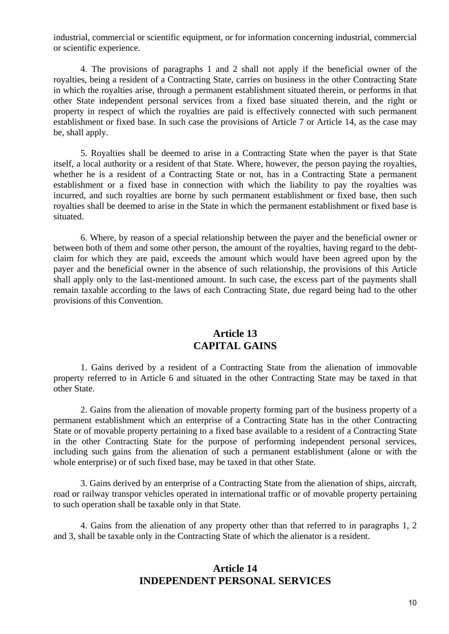industrial, commercial or scientific equipment, or for information concerning industrial, commercial or scientific experience.

4. The provisions of paragraphs 1 and 2 shall not apply if the beneficial owner of the royalties, being a resident of a Contracting State, carries on business in the other Contracting State in which the royalties arise, through a permanent establishment situated therein, or performs in that other State independent personal services from a fixed base situated therein, and the right or property in respect of which the royalties are paid is effectively connected with such permanent establishment or fixed base. In such case the provisions of Article 7 or Article 14, as the case may be, shall apply.

5. Royalties shall be deemed to arise in a Contracting State when the payer is that State itself, a local authority or a resident of that State. Where, however, the person paying the royalties, whether he is a resident of a Contracting State or not, has in a Contracting State a permanent establishment or a fixed base in connection with which the liability to pay the royalties was incurred, and such royalties are borne by such permanent establishment or fixed base, then such royalties shall be deemed to arise in the State in which the permanent establishment or fixed base is situated.

6. Where, by reason of a special relationship between the payer and the beneficial owner or between both of them and some other person, the amount of the royalties, having regard to the debtclaim for which they are paid, exceeds the amount which would have been agreed upon by the payer and the beneficial owner in the absence of such relationship, the provisions of this Article shall apply only to the last-mentioned amount. In such case, the excess part of the payments shall remain taxable according to the laws of each Contracting State, due regard being had to the other provisions of this Convention.

### **Article 13 CAPITAL GAINS**

1. Gains derived by a resident of a Contracting State from the alienation of immovable property referred to in Article 6 and situated in the other Contracting State may be taxed in that other State.

2. Gains from the alienation of movable property forming part of the business property of a permanent establishment which an enterprise of a Contracting State has in the other Contracting State or of movable property pertaining to a fixed base available to a resident of a Contracting State in the other Contracting State for the purpose of performing independent personal services, including such gains from the alienation of such a permanent establishment (alone or with the whole enterprise) or of such fixed base, may be taxed in that other State.

3. Gains derived by an enterprise of a Contracting State from the alienation of ships, aircraft, road or railway transpor vehicles operated in international traffic or of movable property pertaining to such operation shall be taxable only in that State.

4. Gains from the alienation of any property other than that referred to in paragraphs 1, 2 and 3, shall be taxable only in the Contracting State of which the alienator is a resident.

### **Article 14 INDEPENDENT PERSONAL SERVICES**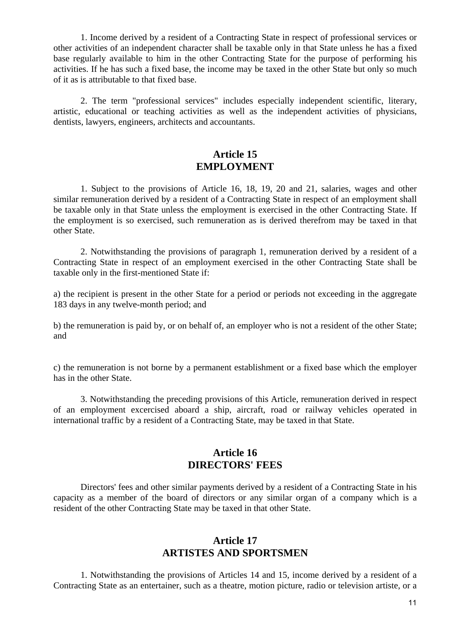1. Income derived by a resident of a Contracting State in respect of professional services or other activities of an independent character shall be taxable only in that State unless he has a fixed base regularly available to him in the other Contracting State for the purpose of performing his activities. If he has such a fixed base, the income may be taxed in the other State but only so much of it as is attributable to that fixed base.

2. The term "professional services" includes especially independent scientific, literary, artistic, educational or teaching activities as well as the independent activities of physicians, dentists, lawyers, engineers, architects and accountants.

### **Article 15 EMPLOYMENT**

1. Subject to the provisions of Article 16, 18, 19, 20 and 21, salaries, wages and other similar remuneration derived by a resident of a Contracting State in respect of an employment shall be taxable only in that State unless the employment is exercised in the other Contracting State. If the employment is so exercised, such remuneration as is derived therefrom may be taxed in that other State.

2. Notwithstanding the provisions of paragraph 1, remuneration derived by a resident of a Contracting State in respect of an employment exercised in the other Contracting State shall be taxable only in the first-mentioned State if:

a) the recipient is present in the other State for a period or periods not exceeding in the aggregate 183 days in any twelve-month period; and

b) the remuneration is paid by, or on behalf of, an employer who is not a resident of the other State; and

c) the remuneration is not borne by a permanent establishment or a fixed base which the employer has in the other State.

3. Notwithstanding the preceding provisions of this Article, remuneration derived in respect of an employment excercised aboard a ship, aircraft, road or railway vehicles operated in international traffic by a resident of a Contracting State, may be taxed in that State.

#### **Article 16 DIRECTORS' FEES**

Directors' fees and other similar payments derived by a resident of a Contracting State in his capacity as a member of the board of directors or any similar organ of a company which is a resident of the other Contracting State may be taxed in that other State.

### **Article 17 ARTISTES AND SPORTSMEN**

1. Notwithstanding the provisions of Articles 14 and 15, income derived by a resident of a Contracting State as an entertainer, such as a theatre, motion picture, radio or television artiste, or a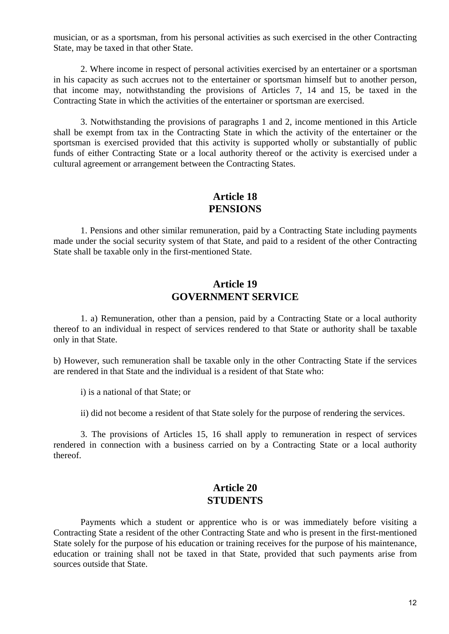musician, or as a sportsman, from his personal activities as such exercised in the other Contracting State, may be taxed in that other State.

2. Where income in respect of personal activities exercised by an entertainer or a sportsman in his capacity as such accrues not to the entertainer or sportsman himself but to another person, that income may, notwithstanding the provisions of Articles 7, 14 and 15, be taxed in the Contracting State in which the activities of the entertainer or sportsman are exercised.

3. Notwithstanding the provisions of paragraphs 1 and 2, income mentioned in this Article shall be exempt from tax in the Contracting State in which the activity of the entertainer or the sportsman is exercised provided that this activity is supported wholly or substantially of public funds of either Contracting State or a local authority thereof or the activity is exercised under a cultural agreement or arrangement between the Contracting States.

#### **Article 18 PENSIONS**

1. Pensions and other similar remuneration, paid by a Contracting State including payments made under the social security system of that State, and paid to a resident of the other Contracting State shall be taxable only in the first-mentioned State.

### **Article 19 GOVERNMENT SERVICE**

1. a) Remuneration, other than a pension, paid by a Contracting State or a local authority thereof to an individual in respect of services rendered to that State or authority shall be taxable only in that State.

b) However, such remuneration shall be taxable only in the other Contracting State if the services are rendered in that State and the individual is a resident of that State who:

i) is a national of that State; or

ii) did not become a resident of that State solely for the purpose of rendering the services.

3. The provisions of Articles 15, 16 shall apply to remuneration in respect of services rendered in connection with a business carried on by a Contracting State or a local authority thereof.

#### **Article 20 STUDENTS**

Payments which a student or apprentice who is or was immediately before visiting a Contracting State a resident of the other Contracting State and who is present in the first-mentioned State solely for the purpose of his education or training receives for the purpose of his maintenance, education or training shall not be taxed in that State, provided that such payments arise from sources outside that State.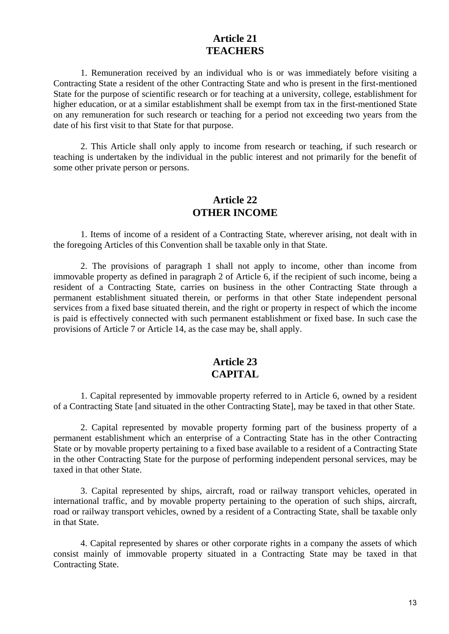#### **Article 21 TEACHERS**

1. Remuneration received by an individual who is or was immediately before visiting a Contracting State a resident of the other Contracting State and who is present in the first-mentioned State for the purpose of scientific research or for teaching at a university, college, establishment for higher education, or at a similar establishment shall be exempt from tax in the first-mentioned State on any remuneration for such research or teaching for a period not exceeding two years from the date of his first visit to that State for that purpose.

2. This Article shall only apply to income from research or teaching, if such research or teaching is undertaken by the individual in the public interest and not primarily for the benefit of some other private person or persons.

#### **Article 22 OTHER INCOME**

1. Items of income of a resident of a Contracting State, wherever arising, not dealt with in the foregoing Articles of this Convention shall be taxable only in that State.

2. The provisions of paragraph 1 shall not apply to income, other than income from immovable property as defined in paragraph 2 of Article 6, if the recipient of such income, being a resident of a Contracting State, carries on business in the other Contracting State through a permanent establishment situated therein, or performs in that other State independent personal services from a fixed base situated therein, and the right or property in respect of which the income is paid is effectively connected with such permanent establishment or fixed base. In such case the provisions of Article 7 or Article 14, as the case may be, shall apply.

#### **Article 23 CAPITAL**

1. Capital represented by immovable property referred to in Article 6, owned by a resident of a Contracting State [and situated in the other Contracting State], may be taxed in that other State.

2. Capital represented by movable property forming part of the business property of a permanent establishment which an enterprise of a Contracting State has in the other Contracting State or by movable property pertaining to a fixed base available to a resident of a Contracting State in the other Contracting State for the purpose of performing independent personal services, may be taxed in that other State.

3. Capital represented by ships, aircraft, road or railway transport vehicles, operated in international traffic, and by movable property pertaining to the operation of such ships, aircraft, road or railway transport vehicles, owned by a resident of a Contracting State, shall be taxable only in that State.

4. Capital represented by shares or other corporate rights in a company the assets of which consist mainly of immovable property situated in a Contracting State may be taxed in that Contracting State.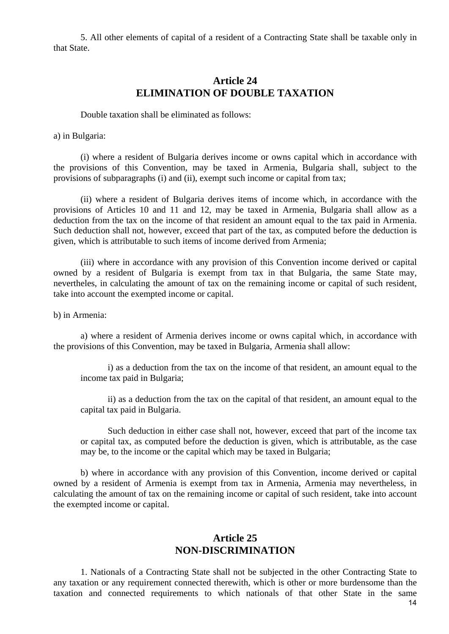5. All other elements of capital of a resident of a Contracting State shall be taxable only in that State.

### **Article 24 ELIMINATION OF DOUBLE TAXATION**

Double taxation shall be eliminated as follows:

a) in Bulgaria:

(i) where a resident of Bulgaria derives income or owns capital which in accordance with the provisions of this Convention, may be taxed in Armenia, Bulgaria shall, subject to the provisions of subparagraphs (i) and (ii), exempt such income or capital from tax;

(ii) where a resident of Bulgaria derives items of income which, in accordance with the provisions of Articles 10 and 11 and 12, may be taxed in Armenia, Bulgaria shall allow as a deduction from the tax on the income of that resident an amount equal to the tax paid in Armenia. Such deduction shall not, however, exceed that part of the tax, as computed before the deduction is given, which is attributable to such items of income derived from Armenia;

(iii) where in accordance with any provision of this Convention income derived or capital owned by a resident of Bulgaria is exempt from tax in that Bulgaria, the same State may, nevertheles, in calculating the amount of tax on the remaining income or capital of such resident, take into account the exempted income or capital.

b) in Armenia:

a) where a resident of Armenia derives income or owns capital which, in accordance with the provisions of this Convention, may be taxed in Bulgaria, Armenia shall allow:

i) as a deduction from the tax on the income of that resident, an amount equal to the income tax paid in Bulgaria;

ii) as a deduction from the tax on the capital of that resident, an amount equal to the capital tax paid in Bulgaria.

Such deduction in either case shall not, however, exceed that part of the income tax or capital tax, as computed before the deduction is given, which is attributable, as the case may be, to the income or the capital which may be taxed in Bulgaria;

b) where in accordance with any provision of this Convention, income derived or capital owned by a resident of Armenia is exempt from tax in Armenia, Armenia may nevertheless, in calculating the amount of tax on the remaining income or capital of such resident, take into account the exempted income or capital.

#### **Article 25 NON-DISCRIMINATION**

1. Nationals of a Contracting State shall not be subjected in the other Contracting State to any taxation or any requirement connected therewith, which is other or more burdensome than the taxation and connected requirements to which nationals of that other State in the same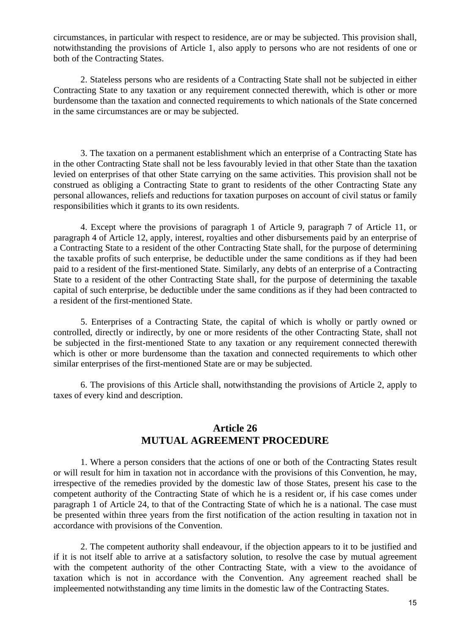circumstances, in particular with respect to residence, are or may be subjected. This provision shall, notwithstanding the provisions of Article 1, also apply to persons who are not residents of one or both of the Contracting States.

2. Stateless persons who are residents of a Contracting State shall not be subjected in either Contracting State to any taxation or any requirement connected therewith, which is other or more burdensome than the taxation and connected requirements to which nationals of the State concerned in the same circumstances are or may be subjected.

3. The taxation on a permanent establishment which an enterprise of a Contracting State has in the other Contracting State shall not be less favourably levied in that other State than the taxation levied on enterprises of that other State carrying on the same activities. This provision shall not be construed as obliging a Contracting State to grant to residents of the other Contracting State any personal allowances, reliefs and reductions for taxation purposes on account of civil status or family responsibilities which it grants to its own residents.

4. Except where the provisions of paragraph 1 of Article 9, paragraph 7 of Article 11, or paragraph 4 of Article 12, apply, interest, royalties and other disbursements paid by an enterprise of a Contracting State to a resident of the other Contracting State shall, for the purpose of determining the taxable profits of such enterprise, be deductible under the same conditions as if they had been paid to a resident of the first-mentioned State. Similarly, any debts of an enterprise of a Contracting State to a resident of the other Contracting State shall, for the purpose of determining the taxable capital of such enterprise, be deductible under the same conditions as if they had been contracted to a resident of the first-mentioned State.

5. Enterprises of a Contracting State, the capital of which is wholly or partly owned or controlled, directly or indirectly, by one or more residents of the other Contracting State, shall not be subjected in the first-mentioned State to any taxation or any requirement connected therewith which is other or more burdensome than the taxation and connected requirements to which other similar enterprises of the first-mentioned State are or may be subjected.

6. The provisions of this Article shall, notwithstanding the provisions of Article 2, apply to taxes of every kind and description.

#### **Article 26 MUTUAL AGREEMENT PROCEDURE**

1. Where a person considers that the actions of one or both of the Contracting States result or will result for him in taxation not in accordance with the provisions of this Convention, he may, irrespective of the remedies provided by the domestic law of those States, present his case to the competent authority of the Contracting State of which he is a resident or, if his case comes under paragraph 1 of Article 24, to that of the Contracting State of which he is a national. The case must be presented within three years from the first notification of the action resulting in taxation not in accordance with provisions of the Convention.

2. The competent authority shall endeavour, if the objection appears to it to be justified and if it is not itself able to arrive at a satisfactory solution, to resolve the case by mutual agreement with the competent authority of the other Contracting State, with a view to the avoidance of taxation which is not in accordance with the Convention. Any agreement reached shall be impleemented notwithstanding any time limits in the domestic law of the Contracting States.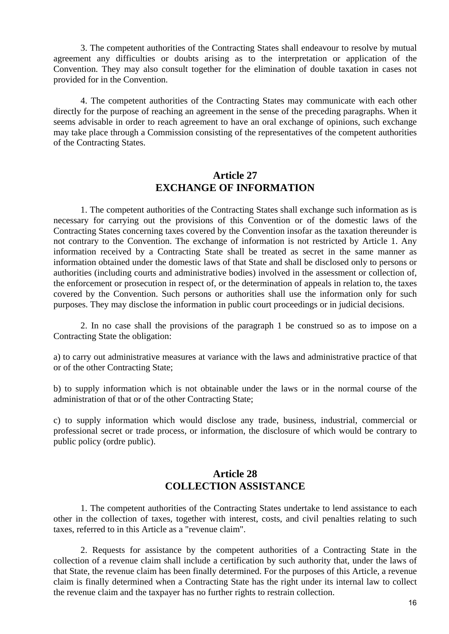3. The competent authorities of the Contracting States shall endeavour to resolve by mutual agreement any difficulties or doubts arising as to the interpretation or application of the Convention. They may also consult together for the elimination of double taxation in cases not provided for in the Convention.

4. The competent authorities of the Contracting States may communicate with each other directly for the purpose of reaching an agreement in the sense of the preceding paragraphs. When it seems advisable in order to reach agreement to have an oral exchange of opinions, such exchange may take place through a Commission consisting of the representatives of the competent authorities of the Contracting States.

#### **Article 27 EXCHANGE OF INFORMATION**

1. The competent authorities of the Contracting States shall exchange such information as is necessary for carrying out the provisions of this Convention or of the domestic laws of the Contracting States concerning taxes covered by the Convention insofar as the taxation thereunder is not contrary to the Convention. The exchange of information is not restricted by Article 1. Any information received by a Contracting State shall be treated as secret in the same manner as information obtained under the domestic laws of that State and shall be disclosed only to persons or authorities (including courts and administrative bodies) involved in the assessment or collection of, the enforcement or prosecution in respect of, or the determination of appeals in relation to, the taxes covered by the Convention. Such persons or authorities shall use the information only for such purposes. They may disclose the information in public court proceedings or in judicial decisions.

2. In no case shall the provisions of the paragraph 1 be construed so as to impose on a Contracting State the obligation:

a) to carry out administrative measures at variance with the laws and administrative practice of that or of the other Contracting State;

b) to supply information which is not obtainable under the laws or in the normal course of the administration of that or of the other Contracting State;

c) to supply information which would disclose any trade, business, industrial, commercial or professional secret or trade process, or information, the disclosure of which would be contrary to public policy (ordre public).

### **Article 28 COLLECTION ASSISTANCE**

1. The competent authorities of the Contracting States undertake to lend assistance to each other in the collection of taxes, together with interest, costs, and civil penalties relating to such taxes, referred to in this Article as a "revenue claim".

2. Requests for assistance by the competent authorities of a Contracting State in the collection of a revenue claim shall include a certification by such authority that, under the laws of that State, the revenue claim has been finally determined. For the purposes of this Article, a revenue claim is finally determined when a Contracting State has the right under its internal law to collect the revenue claim and the taxpayer has no further rights to restrain collection.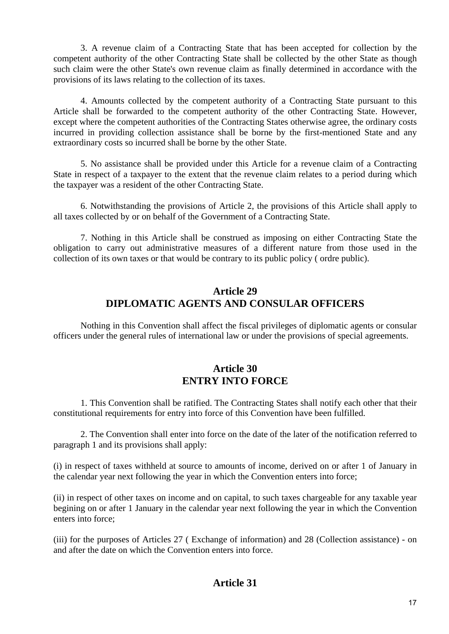3. A revenue claim of a Contracting State that has been accepted for collection by the competent authority of the other Contracting State shall be collected by the other State as though such claim were the other State's own revenue claim as finally determined in accordance with the provisions of its laws relating to the collection of its taxes.

4. Amounts collected by the competent authority of a Contracting State pursuant to this Article shall be forwarded to the competent authority of the other Contracting State. However, except where the competent authorities of the Contracting States otherwise agree, the ordinary costs incurred in providing collection assistance shall be borne by the first-mentioned State and any extraordinary costs so incurred shall be borne by the other State.

5. No assistance shall be provided under this Article for a revenue claim of a Contracting State in respect of a taxpayer to the extent that the revenue claim relates to a period during which the taxpayer was a resident of the other Contracting State.

6. Notwithstanding the provisions of Article 2, the provisions of this Article shall apply to all taxes collected by or on behalf of the Government of a Contracting State.

7. Nothing in this Article shall be construed as imposing on either Contracting State the obligation to carry out administrative measures of a different nature from those used in the collection of its own taxes or that would be contrary to its public policy ( ordre public).

### **Article 29 DIPLOMATIC AGENTS AND CONSULAR OFFICERS**

Nothing in this Convention shall affect the fiscal privileges of diplomatic agents or consular officers under the general rules of international law or under the provisions of special agreements.

### **Article 30 ENTRY INTO FORCE**

1. This Convention shall be ratified. The Contracting States shall notify each other that their constitutional requirements for entry into force of this Convention have been fulfilled.

2. The Convention shall enter into force on the date of the later of the notification referred to paragraph 1 and its provisions shall apply:

(i) in respect of taxes withheld at source to amounts of income, derived on or after 1 of January in the calendar year next following the year in which the Convention enters into force;

(ii) in respect of other taxes on income and on capital, to such taxes chargeable for any taxable year begining on or after 1 January in the calendar year next following the year in which the Convention enters into force;

(iii) for the purposes of Articles 27 ( Exchange of information) and 28 (Collection assistance) - on and after the date on which the Convention enters into force.

### **Article 31**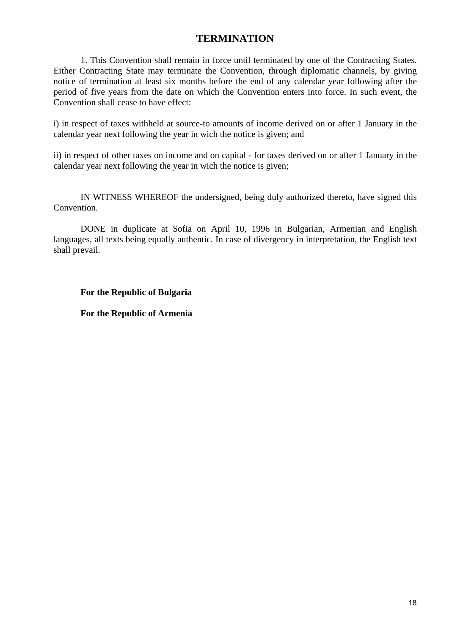#### **TERMINATION**

1. This Convention shall remain in force until terminated by one of the Contracting States. Either Contracting State may terminate the Convention, through diplomatic channels, by giving notice of termination at least six months before the end of any calendar year following after the period of five years from the date on which the Convention enters into force. In such event, the Convention shall cease to have effect:

i) in respect of taxes withheld at source-to amounts of income derived on or after 1 January in the calendar year next following the year in wich the notice is given; and

ii) in respect of other taxes on income and on capital - for taxes derived on or after 1 January in the calendar year next following the year in wich the notice is given;

IN WITNESS WHEREOF the undersigned, being duly authorized thereto, have signed this Convention.

DONE in duplicate at Sofia on April 10, 1996 in Bulgarian, Armenian and English languages, all texts being equally authentic. In case of divergency in interpretation, the English text shall prevail.

**For the Republic of Bulgaria** 

**For the Republic of Armenia**